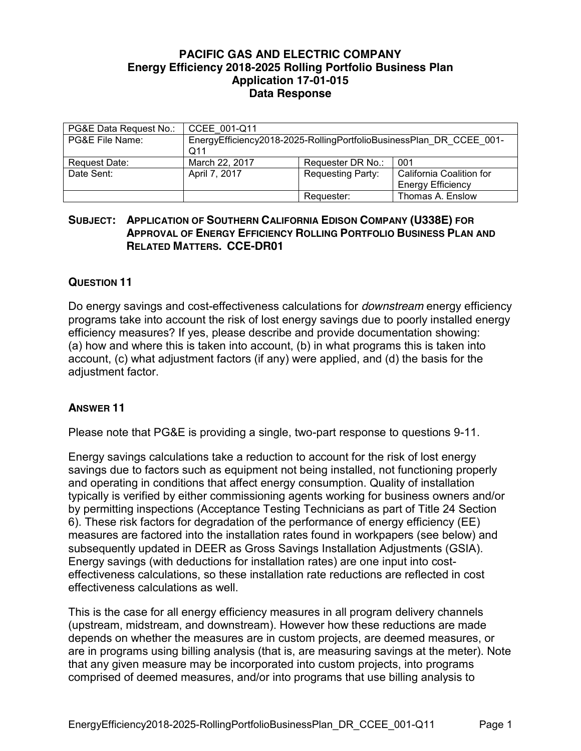## **PACIFIC GAS AND ELECTRIC COMPANY Energy Efficiency 2018-2025 Rolling Portfolio Business Plan Application 17-01-015 Data Response**

| PG&E Data Request No.: | CCEE 001-Q11                                                               |                          |                                                      |
|------------------------|----------------------------------------------------------------------------|--------------------------|------------------------------------------------------|
| PG&E File Name:        | EnergyEfficiency2018-2025-RollingPortfolioBusinessPlan DR CCEE 001-<br>Q11 |                          |                                                      |
| Request Date:          | March 22, 2017                                                             | Requester DR No.:        | 001                                                  |
| Date Sent:             | April 7, 2017                                                              | <b>Requesting Party:</b> | California Coalition for<br><b>Energy Efficiency</b> |
|                        |                                                                            | Requester:               | Thomas A. Enslow                                     |

## **SUBJECT: APPLICATION OF SOUTHERN CALIFORNIA EDISON COMPANY (U338E) FOR APPROVAL OF ENERGY EFFICIENCY ROLLING PORTFOLIO BUSINESS PLAN AND RELATED MATTERS. CCE-DR01**

## **QUESTION 11**

Do energy savings and cost-effectiveness calculations for *downstream* energy efficiency programs take into account the risk of lost energy savings due to poorly installed energy efficiency measures? If yes, please describe and provide documentation showing: (a) how and where this is taken into account, (b) in what programs this is taken into account, (c) what adjustment factors (if any) were applied, and (d) the basis for the adjustment factor.

## **ANSWER 11**

Please note that PG&E is providing a single, two-part response to questions 9-11.

Energy savings calculations take a reduction to account for the risk of lost energy savings due to factors such as equipment not being installed, not functioning properly and operating in conditions that affect energy consumption. Quality of installation typically is verified by either commissioning agents working for business owners and/or by permitting inspections (Acceptance Testing Technicians as part of Title 24 Section 6). These risk factors for degradation of the performance of energy efficiency (EE) measures are factored into the installation rates found in workpapers (see below) and subsequently updated in DEER as Gross Savings Installation Adjustments (GSIA). Energy savings (with deductions for installation rates) are one input into costeffectiveness calculations, so these installation rate reductions are reflected in cost effectiveness calculations as well.

This is the case for all energy efficiency measures in all program delivery channels (upstream, midstream, and downstream). However how these reductions are made depends on whether the measures are in custom projects, are deemed measures, or are in programs using billing analysis (that is, are measuring savings at the meter). Note that any given measure may be incorporated into custom projects, into programs comprised of deemed measures, and/or into programs that use billing analysis to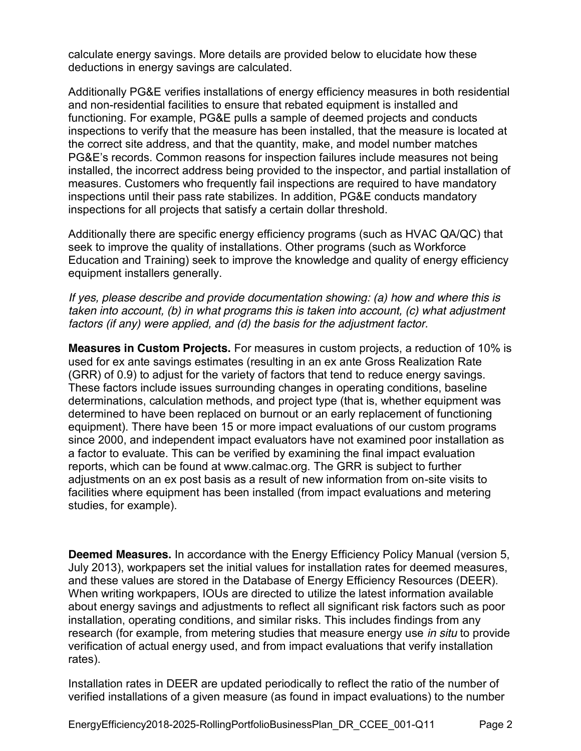calculate energy savings. More details are provided below to elucidate how these deductions in energy savings are calculated.

Additionally PG&E verifies installations of energy efficiency measures in both residential and non-residential facilities to ensure that rebated equipment is installed and functioning. For example, PG&E pulls a sample of deemed projects and conducts inspections to verify that the measure has been installed, that the measure is located at the correct site address, and that the quantity, make, and model number matches PG&E's records. Common reasons for inspection failures include measures not being installed, the incorrect address being provided to the inspector, and partial installation of measures. Customers who frequently fail inspections are required to have mandatory inspections until their pass rate stabilizes. In addition, PG&E conducts mandatory inspections for all projects that satisfy a certain dollar threshold.

Additionally there are specific energy efficiency programs (such as HVAC QA/QC) that seek to improve the quality of installations. Other programs (such as Workforce Education and Training) seek to improve the knowledge and quality of energy efficiency equipment installers generally.

*If yes, please describe and provide documentation showing: (a) how and where this is taken into account, (b) in what programs this is taken into account, (c) what adjustment factors (if any) were applied, and (d) the basis for the adjustment factor.*

**Measures in Custom Projects.** For measures in custom projects, a reduction of 10% is used for ex ante savings estimates (resulting in an ex ante Gross Realization Rate (GRR) of 0.9) to adjust for the variety of factors that tend to reduce energy savings. These factors include issues surrounding changes in operating conditions, baseline determinations, calculation methods, and project type (that is, whether equipment was determined to have been replaced on burnout or an early replacement of functioning equipment). There have been 15 or more impact evaluations of our custom programs since 2000, and independent impact evaluators have not examined poor installation as a factor to evaluate. This can be verified by examining the final impact evaluation reports, which can be found at www.calmac.org. The GRR is subject to further adjustments on an ex post basis as a result of new information from on-site visits to facilities where equipment has been installed (from impact evaluations and metering studies, for example).

**Deemed Measures.** In accordance with the Energy Efficiency Policy Manual (version 5, July 2013), workpapers set the initial values for installation rates for deemed measures, and these values are stored in the Database of Energy Efficiency Resources (DEER). When writing workpapers, IOUs are directed to utilize the latest information available about energy savings and adjustments to reflect all significant risk factors such as poor installation, operating conditions, and similar risks. This includes findings from any research (for example, from metering studies that measure energy use *in situ* to provide verification of actual energy used, and from impact evaluations that verify installation rates).

Installation rates in DEER are updated periodically to reflect the ratio of the number of verified installations of a given measure (as found in impact evaluations) to the number